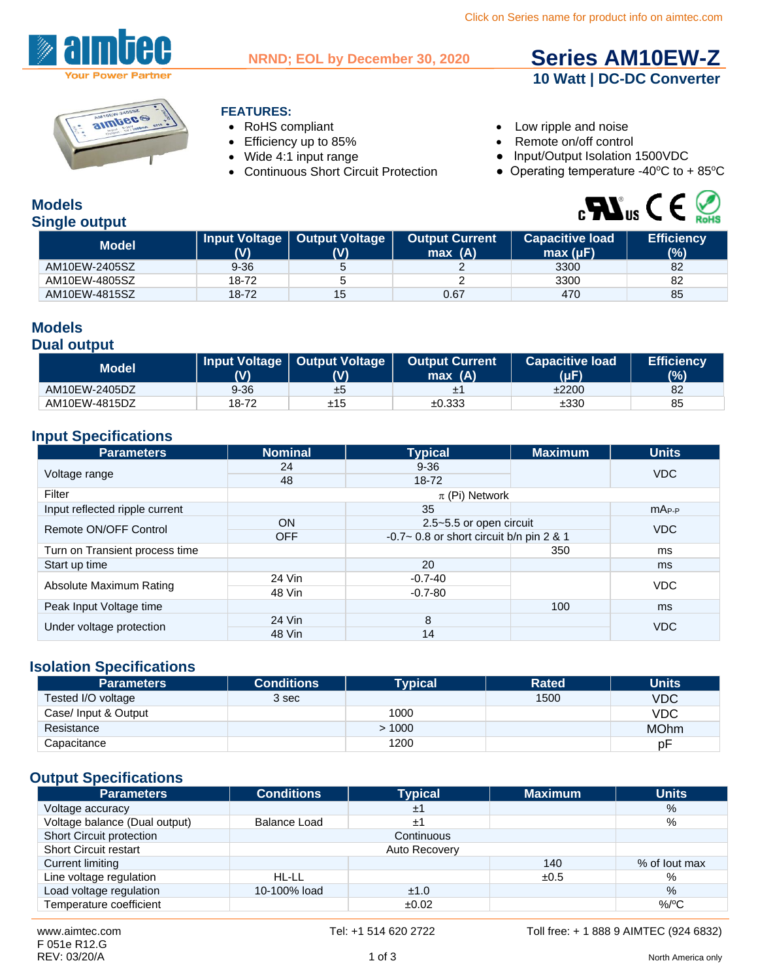

**NRND; EOL by December 30, 2020**

# **[Series AM10EW-Z](http://www.aimtec.com/am10ew-z) 10 Watt | DC-DC Converter**



#### **FEATURES:**

- 
- 
- 
- 
- RoHS compliant Low ripple and noise
- Efficiency up to 85% Remote on/off control
	-
- Wide 4:1 input range <br>• Continuous Short Circuit Protection Operating temperature -40°C to -• Continuous Short Circuit Protection • Operating temperature -40°C to + 85°C

 $_{c}$ Nus C E  $_{\odot}$ 

#### **Models Single output**

| JIIIYI <del>G</del> VULDUL |          |                                         |                                 |                                    |                          |
|----------------------------|----------|-----------------------------------------|---------------------------------|------------------------------------|--------------------------|
| <b>Model</b>               | (V)      | Input Voltage   Output Voltage  <br>(V) | <b>Output Current</b><br>max(A) | <b>Capacitive load</b><br>max (µF) | <b>Efficiency</b><br>(%) |
| AM10EW-2405SZ              | $9 - 36$ |                                         |                                 | 3300                               | 82                       |
| AM10EW-4805SZ              | 18-72    |                                         |                                 | 3300                               | 82                       |
| AM10EW-4815SZ              | 18-72    | 15                                      | 0.67                            | 470                                | 85                       |

### **Models**

#### **Dual output**

| Model         |          | <b>Input Voltage   Output Voltage  </b> | <b>Output Current</b><br>max(A) | <b>Capacitive load</b><br>(µF) | <b>Efficiency</b><br>(%) |
|---------------|----------|-----------------------------------------|---------------------------------|--------------------------------|--------------------------|
| AM10EW-2405DZ | $9 - 36$ | ±Ь                                      |                                 | ±2200                          | 82                       |
| AM10EW-4815DZ | 18-72    | ±15                                     | ±0.333                          | ±330                           | 85                       |

### **Input Specifications**

| <b>Parameters</b>              | <b>Nominal</b>     | <b>Typical</b>                              | <b>Maximum</b> | <b>Units</b>      |
|--------------------------------|--------------------|---------------------------------------------|----------------|-------------------|
|                                | 24                 | $9 - 36$                                    |                | <b>VDC</b>        |
| Voltage range                  | 48                 | 18-72                                       |                |                   |
| Filter                         | $\pi$ (Pi) Network |                                             |                |                   |
| Input reflected ripple current |                    | 35                                          |                | mA <sub>P-P</sub> |
| Remote ON/OFF Control          | <b>ON</b>          | 2.5~5.5 or open circuit                     |                | <b>VDC</b>        |
|                                | <b>OFF</b>         | $-0.7$ ~ 0.8 or short circuit b/n pin 2 & 1 |                |                   |
| Turn on Transient process time |                    |                                             | 350            | ms                |
| Start up time                  |                    | 20                                          |                | ms                |
| Absolute Maximum Rating        | 24 Vin             | $-0.7 - 40$                                 |                | <b>VDC</b>        |
|                                | 48 Vin             | $-0.7 - 80$                                 |                |                   |
| Peak Input Voltage time        |                    |                                             | 100            | ms                |
|                                | 24 Vin             | 8                                           |                | <b>VDC</b>        |
| Under voltage protection       | 48 Vin             | 14                                          |                |                   |

## **Isolation Specifications**

| <b>Parameters</b>    | <b>Conditions</b> | Typical | Rated | <b>Units</b> |
|----------------------|-------------------|---------|-------|--------------|
| Tested I/O voltage   | 3 sec             |         | 1500  | <b>VDC</b>   |
| Case/ Input & Output |                   | 1000    |       | VDC          |
| Resistance           |                   | >1000   |       | <b>MOhm</b>  |
| Capacitance          |                   | 1200    |       | рF           |

#### **Output Specifications**

| <b>Parameters</b>             | <b>Conditions</b>    | <b>Typical</b> | <b>Maximum</b> | <b>Units</b> |
|-------------------------------|----------------------|----------------|----------------|--------------|
| Voltage accuracy              |                      | ±1             |                | $\%$         |
| Voltage balance (Dual output) | Balance Load         | ±1             |                | %            |
| Short Circuit protection      | Continuous           |                |                |              |
| <b>Short Circuit restart</b>  | Auto Recovery        |                |                |              |
| Current limiting              | 140                  |                | % of lout max  |              |
| Line voltage regulation       | HL-LL<br>±0.5        |                | %              |              |
| Load voltage regulation       | 10-100% load<br>±1.0 |                | $\%$           |              |
| Temperature coefficient       |                      | ±0.02          |                | $%$ /°C      |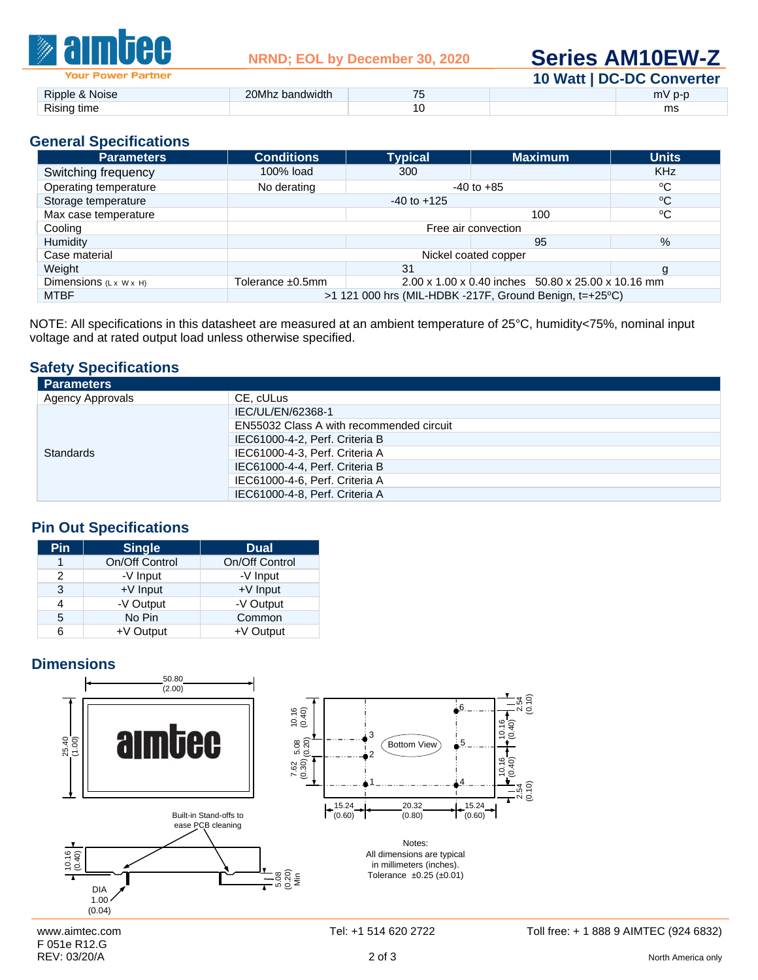

**[Series AM10EW-Z](http://www.aimtec.com/am10ew-z)**

| Your<br>Power Partner |                 | 10 Watt   DC-DC Converter |        |
|-----------------------|-----------------|---------------------------|--------|
| Ripple & Noise        | 20Mhz bandwidth |                           | mV p-p |
| Rising time           |                 |                           | ms     |

# **General Specifications**

| <b>Parameters</b>                  | <b>Conditions</b>                                                      | <b>Typical</b>  | <b>Maximum</b> | <b>Units</b>  |
|------------------------------------|------------------------------------------------------------------------|-----------------|----------------|---------------|
| Switching frequency                | 100% load                                                              | 300             |                | <b>KHz</b>    |
| Operating temperature              | No derating                                                            |                 | $-40$ to $+85$ | ∘c            |
| Storage temperature                |                                                                        | $-40$ to $+125$ |                | $^{\circ}$ C  |
| Max case temperature               |                                                                        |                 | 100            | $^{\circ}$ C  |
| Cooling                            | Free air convection                                                    |                 |                |               |
| Humidity                           |                                                                        |                 | 95             | $\frac{9}{6}$ |
| Case material                      | Nickel coated copper                                                   |                 |                |               |
| Weight                             |                                                                        | 31              |                | g             |
| Dimensions $(L \times W \times H)$ | 2.00 x 1.00 x 0.40 inches 50.80 x 25.00 x 10.16 mm<br>Tolerance ±0.5mm |                 |                |               |
| <b>MTBF</b>                        | $>1$ 121 000 hrs (MIL-HDBK -217F, Ground Benign, t=+25 °C)             |                 |                |               |

NOTE: All specifications in this datasheet are measured at an ambient temperature of 25°C, humidity<75%, nominal input voltage and at rated output load unless otherwise specified.

### **Safety Specifications**

| <b>Parameters</b>       |                                          |
|-------------------------|------------------------------------------|
| <b>Agency Approvals</b> | CE. cULus                                |
|                         | IEC/UL/EN/62368-1                        |
|                         | EN55032 Class A with recommended circuit |
|                         | IEC61000-4-2, Perf. Criteria B           |
| <b>Standards</b>        | IEC61000-4-3, Perf. Criteria A           |
|                         | IEC61000-4-4, Perf. Criteria B           |
|                         | IEC61000-4-6, Perf. Criteria A           |
|                         | IEC61000-4-8, Perf. Criteria A           |

### **Pin Out Specifications**

| Pin | <b>Single</b>  | <b>Dual</b>    |
|-----|----------------|----------------|
| 1   | On/Off Control | On/Off Control |
| 2   | -V Input       | -V Input       |
| 3   | +V Input       | $+V$ Input     |
| 4   | -V Output      | -V Output      |
| 5   | No Pin         | Common         |
| 6   | +V Output      | +V Output      |

### **Dimensions**